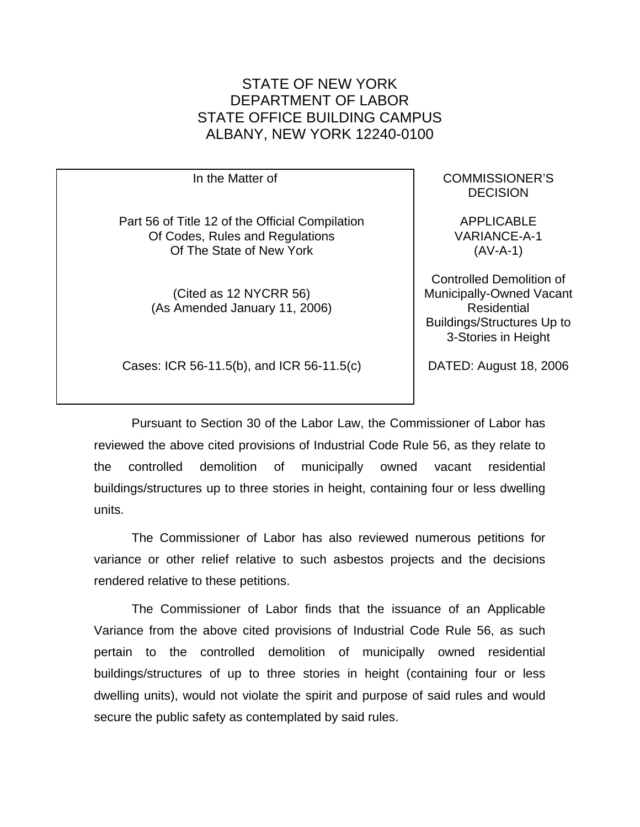In the Matter of Part 56 of Title 12 of the Official Compilation Of Codes, Rules and Regulations Of The State of New York (Cited as 12 NYCRR 56) (As Amended January 11, 2006) COMMISSIONER'S DECISION APPLICABLE VARIANCE-A-1 (AV-A-1) Controlled Demolition of Municipally-Owned Vacant Residential Buildings/Structures Up to 3-Stories in Height

Cases: ICR 56-11.5(b), and ICR 56-11.5(c)

DATED: August 18, 2006

Pursuant to Section 30 of the Labor Law, the Commissioner of Labor has reviewed the above cited provisions of Industrial Code Rule 56, as they relate to the controlled demolition of municipally owned vacant residential buildings/structures up to three stories in height, containing four or less dwelling units.

The Commissioner of Labor has also reviewed numerous petitions for variance or other relief relative to such asbestos projects and the decisions rendered relative to these petitions.

The Commissioner of Labor finds that the issuance of an Applicable Variance from the above cited provisions of Industrial Code Rule 56, as such pertain to the controlled demolition of municipally owned residential buildings/structures of up to three stories in height (containing four or less dwelling units), would not violate the spirit and purpose of said rules and would secure the public safety as contemplated by said rules.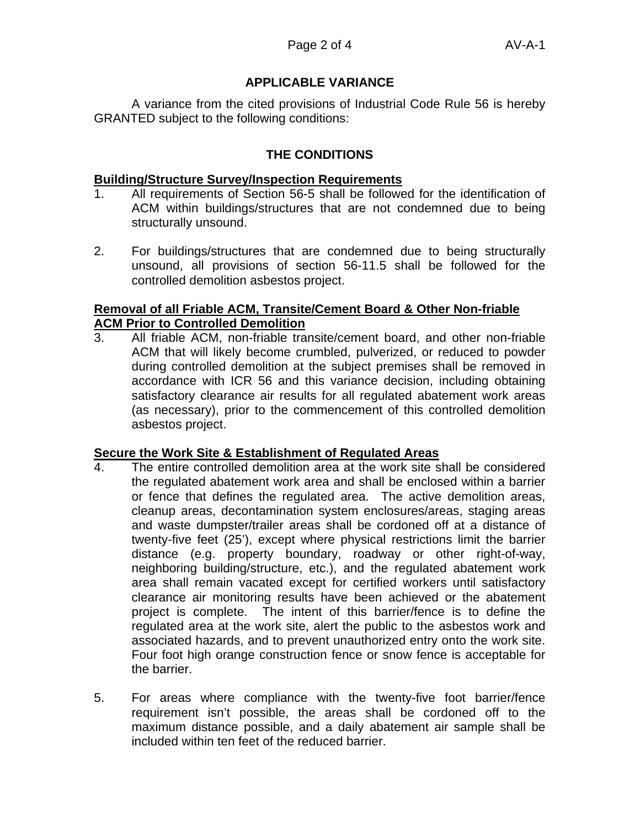A variance from the cited provisions of Industrial Code Rule 56 is hereby GRANTED subject to the following conditions:

## **THE CONDITIONS**

### **Building/Structure Survey/Inspection Requirements**

- 1. All requirements of Section 56-5 shall be followed for the identification of ACM within buildings/structures that are not condemned due to being structurally unsound.
- 2. For buildings/structures that are condemned due to being structurally unsound, all provisions of section 56-11.5 shall be followed for the controlled demolition asbestos project.

## **Removal of all Friable ACM, Transite/Cement Board & Other Non-friable ACM Prior to Controlled Demolition**

3. All friable ACM, non-friable transite/cement board, and other non-friable ACM that will likely become crumbled, pulverized, or reduced to powder during controlled demolition at the subject premises shall be removed in accordance with ICR 56 and this variance decision, including obtaining satisfactory clearance air results for all regulated abatement work areas (as necessary), prior to the commencement of this controlled demolition asbestos project.

## **Secure the Work Site & Establishment of Regulated Areas**

- 4. The entire controlled demolition area at the work site shall be considered the regulated abatement work area and shall be enclosed within a barrier or fence that defines the regulated area. The active demolition areas, cleanup areas, decontamination system enclosures/areas, staging areas and waste dumpster/trailer areas shall be cordoned off at a distance of twenty-five feet (25'), except where physical restrictions limit the barrier distance (e.g. property boundary, roadway or other right-of-way, neighboring building/structure, etc.), and the regulated abatement work area shall remain vacated except for certified workers until satisfactory clearance air monitoring results have been achieved or the abatement project is complete. The intent of this barrier/fence is to define the regulated area at the work site, alert the public to the asbestos work and associated hazards, and to prevent unauthorized entry onto the work site. Four foot high orange construction fence or snow fence is acceptable for the barrier.
- 5. For areas where compliance with the twenty-five foot barrier/fence requirement isn't possible, the areas shall be cordoned off to the maximum distance possible, and a daily abatement air sample shall be included within ten feet of the reduced barrier.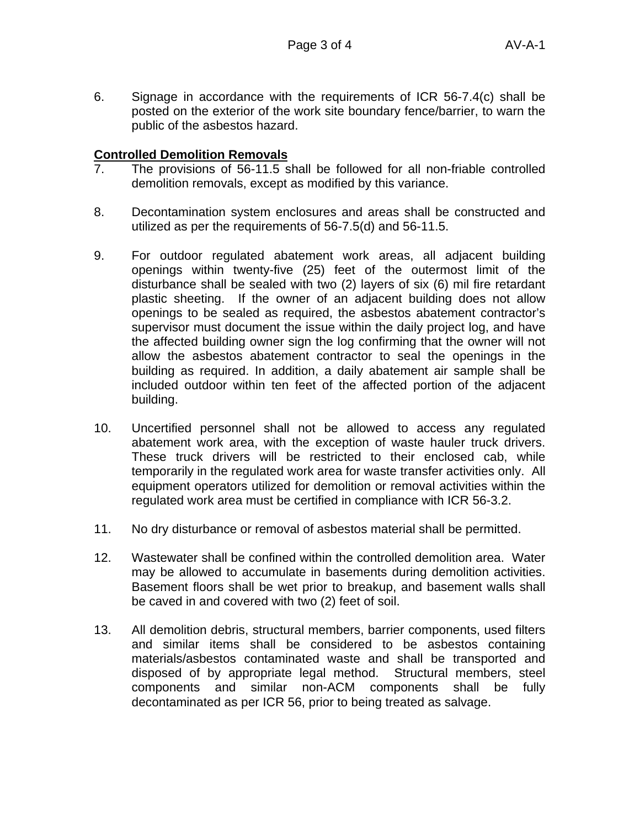6. Signage in accordance with the requirements of ICR 56-7.4(c) shall be posted on the exterior of the work site boundary fence/barrier, to warn the public of the asbestos hazard.

### **Controlled Demolition Removals**

- 7. The provisions of 56-11.5 shall be followed for all non-friable controlled demolition removals, except as modified by this variance.
- 8. Decontamination system enclosures and areas shall be constructed and utilized as per the requirements of 56-7.5(d) and 56-11.5.
- 9. For outdoor regulated abatement work areas, all adjacent building openings within twenty-five (25) feet of the outermost limit of the disturbance shall be sealed with two (2) layers of six (6) mil fire retardant plastic sheeting. If the owner of an adjacent building does not allow openings to be sealed as required, the asbestos abatement contractor's supervisor must document the issue within the daily project log, and have the affected building owner sign the log confirming that the owner will not allow the asbestos abatement contractor to seal the openings in the building as required. In addition, a daily abatement air sample shall be included outdoor within ten feet of the affected portion of the adjacent building.
- 10. Uncertified personnel shall not be allowed to access any regulated abatement work area, with the exception of waste hauler truck drivers. These truck drivers will be restricted to their enclosed cab, while temporarily in the regulated work area for waste transfer activities only. All equipment operators utilized for demolition or removal activities within the regulated work area must be certified in compliance with ICR 56-3.2.
- 11. No dry disturbance or removal of asbestos material shall be permitted.
- 12. Wastewater shall be confined within the controlled demolition area. Water may be allowed to accumulate in basements during demolition activities. Basement floors shall be wet prior to breakup, and basement walls shall be caved in and covered with two (2) feet of soil.
- 13. All demolition debris, structural members, barrier components, used filters and similar items shall be considered to be asbestos containing materials/asbestos contaminated waste and shall be transported and disposed of by appropriate legal method. Structural members, steel components and similar non-ACM components shall be fully decontaminated as per ICR 56, prior to being treated as salvage.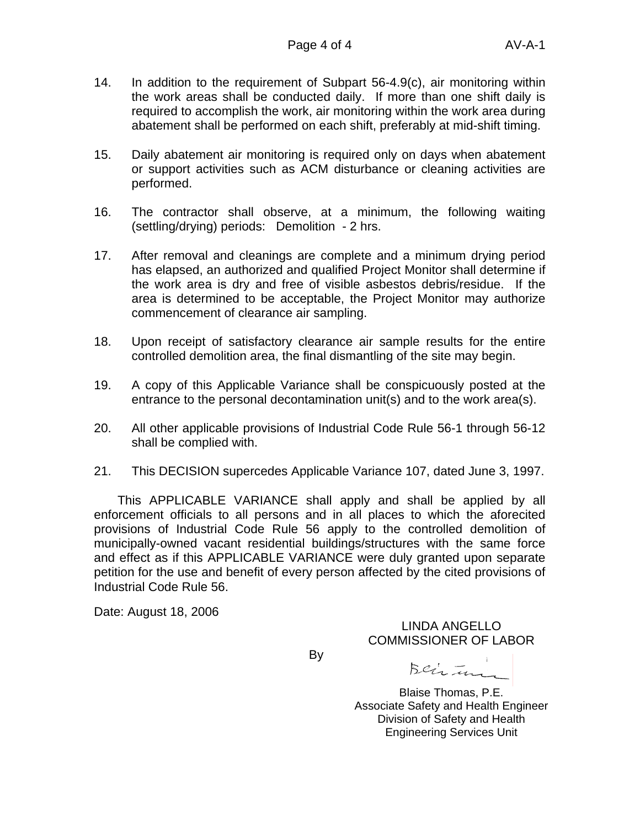- 14. In addition to the requirement of Subpart 56-4.9(c), air monitoring within the work areas shall be conducted daily. If more than one shift daily is required to accomplish the work, air monitoring within the work area during abatement shall be performed on each shift, preferably at mid-shift timing.
- 15. Daily abatement air monitoring is required only on days when abatement or support activities such as ACM disturbance or cleaning activities are performed.
- 16. The contractor shall observe, at a minimum, the following waiting (settling/drying) periods: Demolition - 2 hrs.
- 17. After removal and cleanings are complete and a minimum drying period has elapsed, an authorized and qualified Project Monitor shall determine if the work area is dry and free of visible asbestos debris/residue. If the area is determined to be acceptable, the Project Monitor may authorize commencement of clearance air sampling.
- 18. Upon receipt of satisfactory clearance air sample results for the entire controlled demolition area, the final dismantling of the site may begin.
- 19. A copy of this Applicable Variance shall be conspicuously posted at the entrance to the personal decontamination unit(s) and to the work area(s).
- 20. All other applicable provisions of Industrial Code Rule 56-1 through 56-12 shall be complied with.
- 21. This DECISION supercedes Applicable Variance 107, dated June 3, 1997.

This APPLICABLE VARIANCE shall apply and shall be applied by all enforcement officials to all persons and in all places to which the aforecited provisions of Industrial Code Rule 56 apply to the controlled demolition of municipally-owned vacant residential buildings/structures with the same force and effect as if this APPLICABLE VARIANCE were duly granted upon separate petition for the use and benefit of every person affected by the cited provisions of Industrial Code Rule 56.

Date: August 18, 2006

LINDA ANGELLO COMMISSIONER OF LABOR

By

Beirtun

Blaise Thomas, P.E. Associate Safety and Health Engineer Division of Safety and Health Engineering Services Unit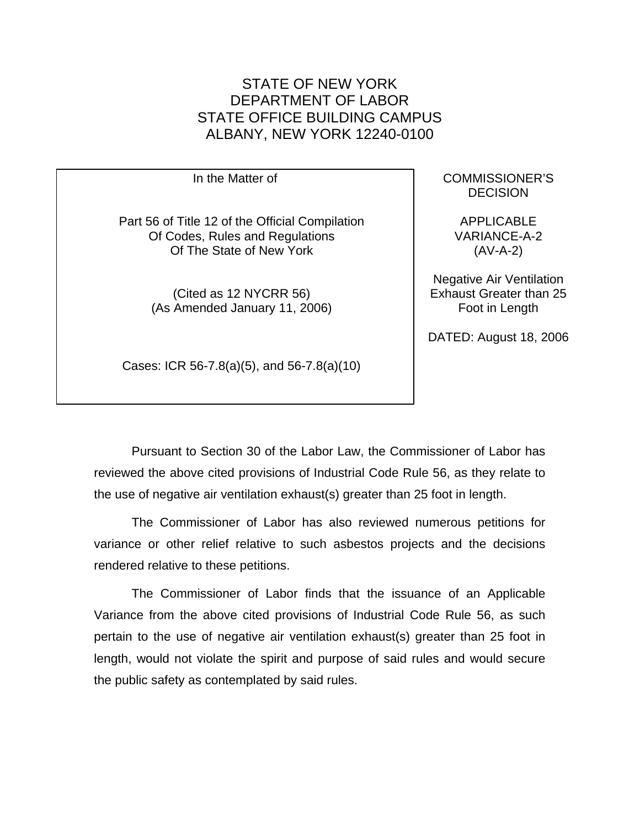In the Matter of Part 56 of Title 12 of the Official Compilation Of Codes, Rules and Regulations Of The State of New York (Cited as 12 NYCRR 56) (As Amended January 11, 2006)

Cases: ICR 56-7.8(a)(5), and 56-7.8(a)(10)

COMMISSIONER'S **DECISION** 

APPLICABLE VARIANCE-A-2 (AV-A-2)

Negative Air Ventilation Exhaust Greater than 25 Foot in Length

DATED: August 18, 2006

Pursuant to Section 30 of the Labor Law, the Commissioner of Labor has reviewed the above cited provisions of Industrial Code Rule 56, as they relate to the use of negative air ventilation exhaust(s) greater than 25 foot in length.

The Commissioner of Labor has also reviewed numerous petitions for variance or other relief relative to such asbestos projects and the decisions rendered relative to these petitions.

The Commissioner of Labor finds that the issuance of an Applicable Variance from the above cited provisions of Industrial Code Rule 56, as such pertain to the use of negative air ventilation exhaust(s) greater than 25 foot in length, would not violate the spirit and purpose of said rules and would secure the public safety as contemplated by said rules.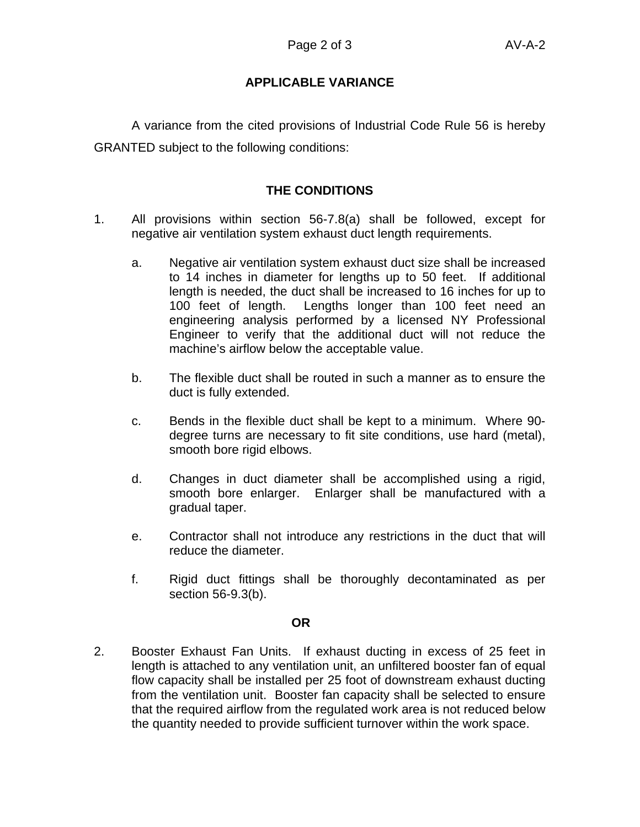A variance from the cited provisions of Industrial Code Rule 56 is hereby GRANTED subject to the following conditions:

## **THE CONDITIONS**

- 1. All provisions within section 56-7.8(a) shall be followed, except for negative air ventilation system exhaust duct length requirements.
	- a. Negative air ventilation system exhaust duct size shall be increased to 14 inches in diameter for lengths up to 50 feet. If additional length is needed, the duct shall be increased to 16 inches for up to 100 feet of length. Lengths longer than 100 feet need an engineering analysis performed by a licensed NY Professional Engineer to verify that the additional duct will not reduce the machine's airflow below the acceptable value.
	- b. The flexible duct shall be routed in such a manner as to ensure the duct is fully extended.
	- c. Bends in the flexible duct shall be kept to a minimum. Where 90 degree turns are necessary to fit site conditions, use hard (metal), smooth bore rigid elbows.
	- d. Changes in duct diameter shall be accomplished using a rigid, smooth bore enlarger. Enlarger shall be manufactured with a gradual taper.
	- e. Contractor shall not introduce any restrictions in the duct that will reduce the diameter.
	- f. Rigid duct fittings shall be thoroughly decontaminated as per section 56-9.3(b).

#### **OR**

2. Booster Exhaust Fan Units. If exhaust ducting in excess of 25 feet in length is attached to any ventilation unit, an unfiltered booster fan of equal flow capacity shall be installed per 25 foot of downstream exhaust ducting from the ventilation unit. Booster fan capacity shall be selected to ensure that the required airflow from the regulated work area is not reduced below the quantity needed to provide sufficient turnover within the work space.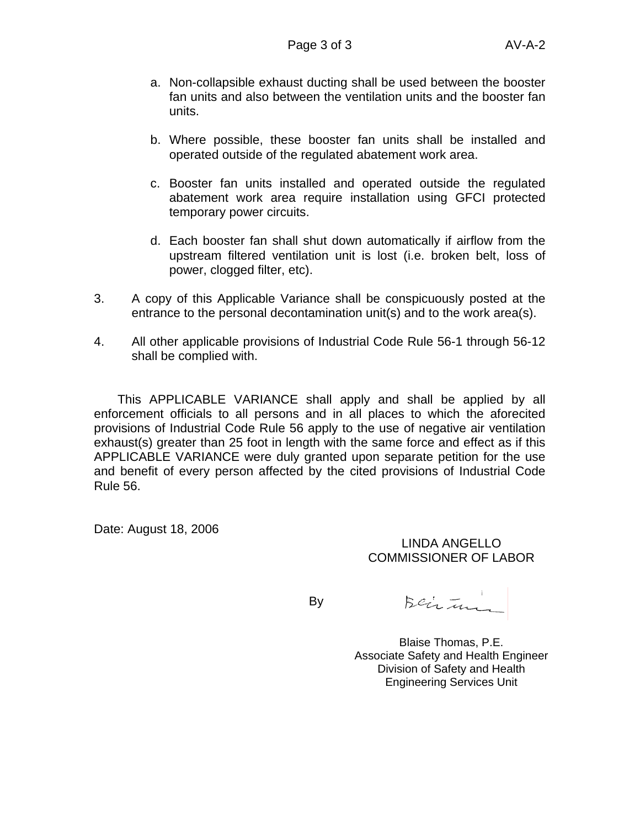- a. Non-collapsible exhaust ducting shall be used between the booster fan units and also between the ventilation units and the booster fan units.
- b. Where possible, these booster fan units shall be installed and operated outside of the regulated abatement work area.
- c. Booster fan units installed and operated outside the regulated abatement work area require installation using GFCI protected temporary power circuits.
- d. Each booster fan shall shut down automatically if airflow from the upstream filtered ventilation unit is lost (i.e. broken belt, loss of power, clogged filter, etc).
- 3. A copy of this Applicable Variance shall be conspicuously posted at the entrance to the personal decontamination unit(s) and to the work area(s).
- 4. All other applicable provisions of Industrial Code Rule 56-1 through 56-12 shall be complied with.

This APPLICABLE VARIANCE shall apply and shall be applied by all enforcement officials to all persons and in all places to which the aforecited provisions of Industrial Code Rule 56 apply to the use of negative air ventilation exhaust(s) greater than 25 foot in length with the same force and effect as if this APPLICABLE VARIANCE were duly granted upon separate petition for the use and benefit of every person affected by the cited provisions of Industrial Code Rule 56.

Date: August 18, 2006

#### LINDA ANGELLO COMMISSIONER OF LABOR

By

Beimin

Blaise Thomas, P.E. Associate Safety and Health Engineer Division of Safety and Health Engineering Services Unit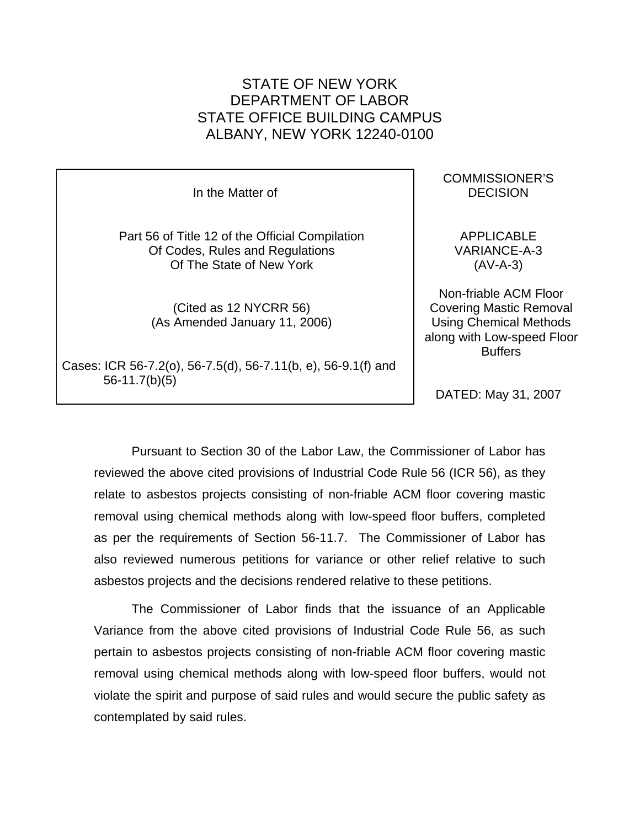In the Matter of Part 56 of Title 12 of the Official Compilation Of Codes, Rules and Regulations Of The State of New York (Cited as 12 NYCRR 56) (As Amended January 11, 2006) Cases: ICR 56-7.2(o), 56-7.5(d), 56-7.11(b, e), 56-9.1(f) and (AV-A-3) Non-friable ACM Floor Covering Mastic Removal Using Chemical Methods along with Low-speed Floor **Buffers** 

56-11.7(b)(5)

DATED: May 31, 2007

Pursuant to Section 30 of the Labor Law, the Commissioner of Labor has reviewed the above cited provisions of Industrial Code Rule 56 (ICR 56), as they relate to asbestos projects consisting of non-friable ACM floor covering mastic removal using chemical methods along with low-speed floor buffers, completed as per the requirements of Section 56-11.7. The Commissioner of Labor has also reviewed numerous petitions for variance or other relief relative to such asbestos projects and the decisions rendered relative to these petitions.

The Commissioner of Labor finds that the issuance of an Applicable Variance from the above cited provisions of Industrial Code Rule 56, as such pertain to asbestos projects consisting of non-friable ACM floor covering mastic removal using chemical methods along with low-speed floor buffers, would not violate the spirit and purpose of said rules and would secure the public safety as contemplated by said rules.

COMMISSIONER'S DECISION

APPLICABLE VARIANCE-A-3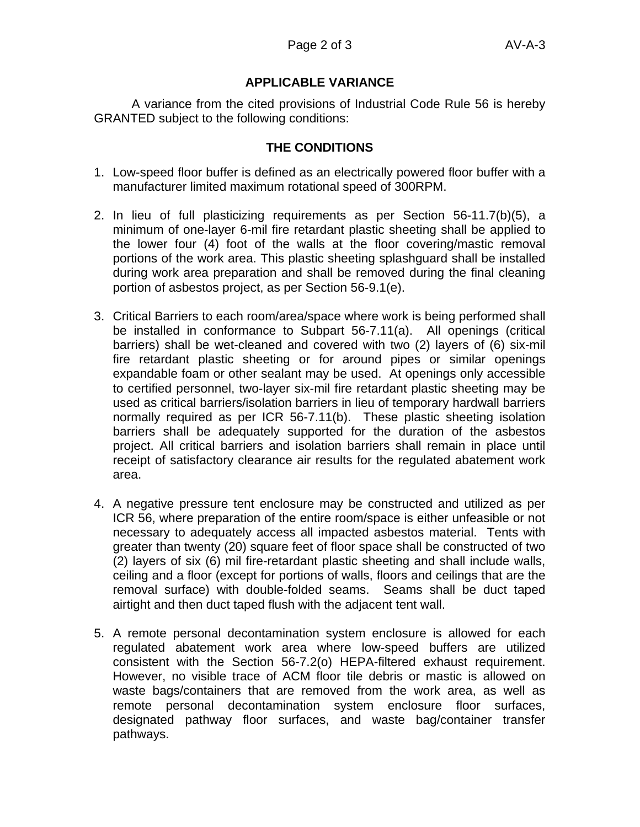A variance from the cited provisions of Industrial Code Rule 56 is hereby GRANTED subject to the following conditions:

## **THE CONDITIONS**

- 1. Low-speed floor buffer is defined as an electrically powered floor buffer with a manufacturer limited maximum rotational speed of 300RPM.
- 2. In lieu of full plasticizing requirements as per Section 56-11.7(b)(5), a minimum of one-layer 6-mil fire retardant plastic sheeting shall be applied to the lower four (4) foot of the walls at the floor covering/mastic removal portions of the work area. This plastic sheeting splashguard shall be installed during work area preparation and shall be removed during the final cleaning portion of asbestos project, as per Section 56-9.1(e).
- 3. Critical Barriers to each room/area/space where work is being performed shall be installed in conformance to Subpart 56-7.11(a). All openings (critical barriers) shall be wet-cleaned and covered with two (2) layers of (6) six-mil fire retardant plastic sheeting or for around pipes or similar openings expandable foam or other sealant may be used. At openings only accessible to certified personnel, two-layer six-mil fire retardant plastic sheeting may be used as critical barriers/isolation barriers in lieu of temporary hardwall barriers normally required as per ICR 56-7.11(b). These plastic sheeting isolation barriers shall be adequately supported for the duration of the asbestos project. All critical barriers and isolation barriers shall remain in place until receipt of satisfactory clearance air results for the regulated abatement work area.
- 4. A negative pressure tent enclosure may be constructed and utilized as per ICR 56, where preparation of the entire room/space is either unfeasible or not necessary to adequately access all impacted asbestos material. Tents with greater than twenty (20) square feet of floor space shall be constructed of two (2) layers of six (6) mil fire-retardant plastic sheeting and shall include walls, ceiling and a floor (except for portions of walls, floors and ceilings that are the removal surface) with double-folded seams. Seams shall be duct taped airtight and then duct taped flush with the adjacent tent wall.
- 5. A remote personal decontamination system enclosure is allowed for each regulated abatement work area where low-speed buffers are utilized consistent with the Section 56-7.2(o) HEPA-filtered exhaust requirement. However, no visible trace of ACM floor tile debris or mastic is allowed on waste bags/containers that are removed from the work area, as well as remote personal decontamination system enclosure floor surfaces, designated pathway floor surfaces, and waste bag/container transfer pathways.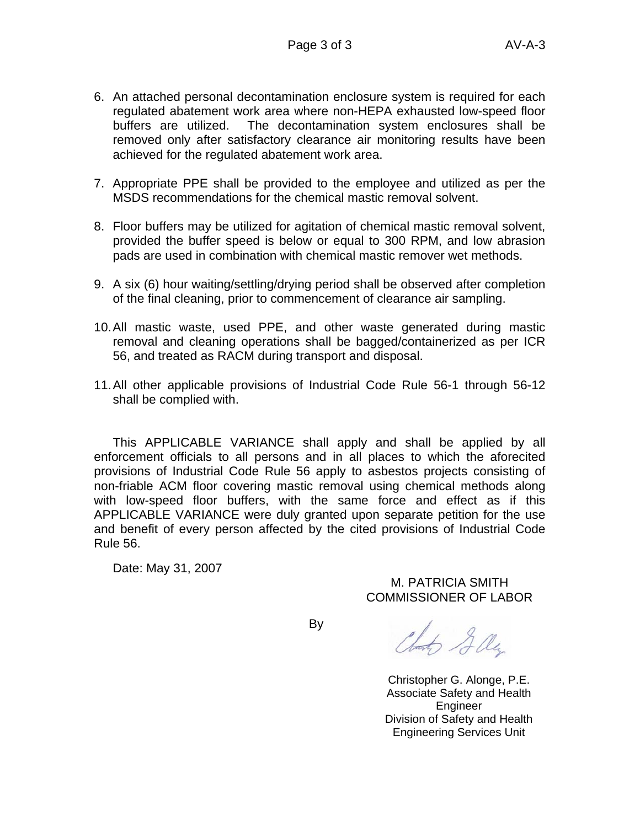- 6. An attached personal decontamination enclosure system is required for each regulated abatement work area where non-HEPA exhausted low-speed floor buffers are utilized. The decontamination system enclosures shall be removed only after satisfactory clearance air monitoring results have been achieved for the regulated abatement work area.
- 7. Appropriate PPE shall be provided to the employee and utilized as per the MSDS recommendations for the chemical mastic removal solvent.
- 8. Floor buffers may be utilized for agitation of chemical mastic removal solvent, provided the buffer speed is below or equal to 300 RPM, and low abrasion pads are used in combination with chemical mastic remover wet methods.
- 9. A six (6) hour waiting/settling/drying period shall be observed after completion of the final cleaning, prior to commencement of clearance air sampling.
- 10. All mastic waste, used PPE, and other waste generated during mastic removal and cleaning operations shall be bagged/containerized as per ICR 56, and treated as RACM during transport and disposal.
- 11. All other applicable provisions of Industrial Code Rule 56-1 through 56-12 shall be complied with.

This APPLICABLE VARIANCE shall apply and shall be applied by all enforcement officials to all persons and in all places to which the aforecited provisions of Industrial Code Rule 56 apply to asbestos projects consisting of non-friable ACM floor covering mastic removal using chemical methods along with low-speed floor buffers, with the same force and effect as if this APPLICABLE VARIANCE were duly granted upon separate petition for the use and benefit of every person affected by the cited provisions of Industrial Code Rule 56.

Date: May 31, 2007

M. PATRICIA SMITH COMMISSIONER OF LABOR

By

Clark Gly

Christopher G. Alonge, P.E. Associate Safety and Health Engineer Division of Safety and Health Engineering Services Unit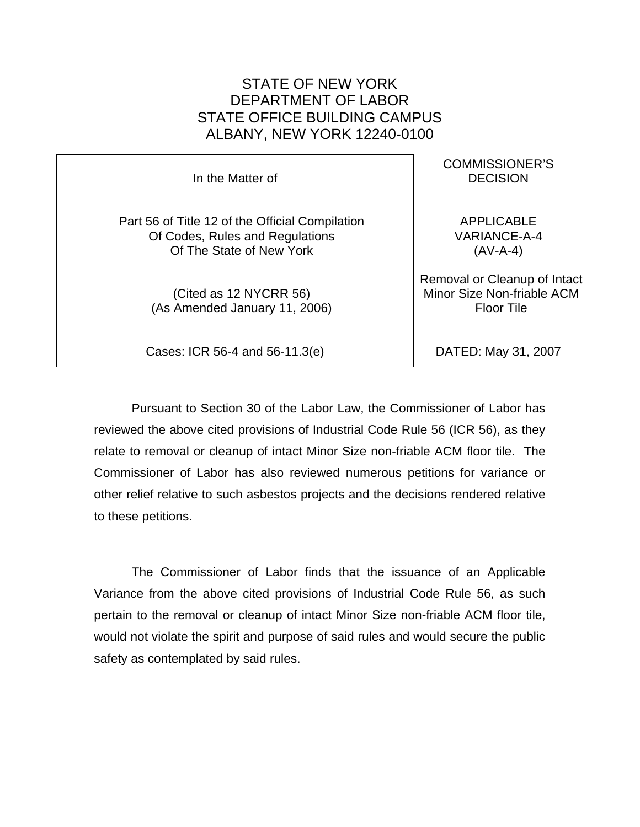In the Matter of

Part 56 of Title 12 of the Official Compilation Of Codes, Rules and Regulations Of The State of New York

> (Cited as 12 NYCRR 56) (As Amended January 11, 2006)

Cases: ICR 56-4 and 56-11.3(e)

COMMISSIONER'S **DECISION** 

APPLICABLE VARIANCE-A-4 (AV-A-4)

Removal or Cleanup of Intact Minor Size Non-friable ACM Floor Tile

DATED: May 31, 2007

Pursuant to Section 30 of the Labor Law, the Commissioner of Labor has reviewed the above cited provisions of Industrial Code Rule 56 (ICR 56), as they relate to removal or cleanup of intact Minor Size non-friable ACM floor tile. The Commissioner of Labor has also reviewed numerous petitions for variance or other relief relative to such asbestos projects and the decisions rendered relative to these petitions.

The Commissioner of Labor finds that the issuance of an Applicable Variance from the above cited provisions of Industrial Code Rule 56, as such pertain to the removal or cleanup of intact Minor Size non-friable ACM floor tile, would not violate the spirit and purpose of said rules and would secure the public safety as contemplated by said rules.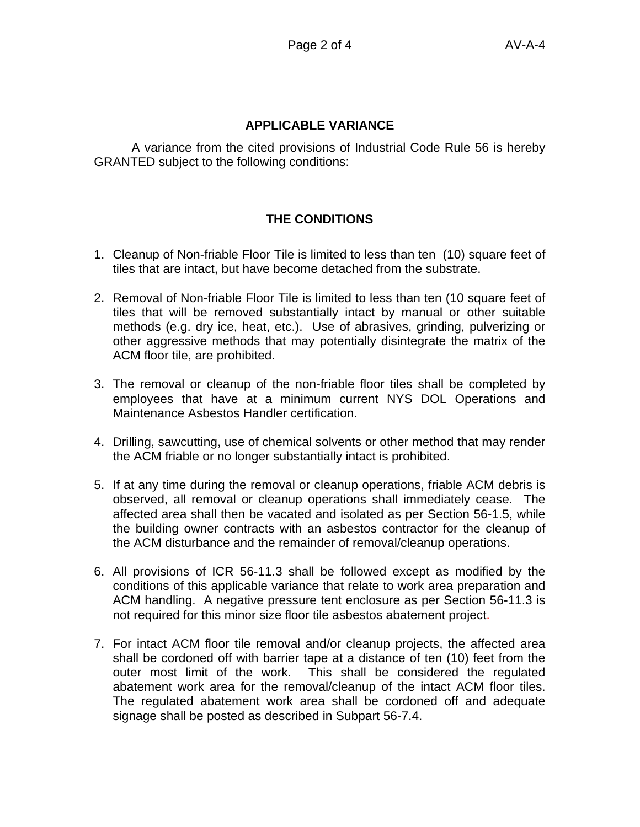A variance from the cited provisions of Industrial Code Rule 56 is hereby GRANTED subject to the following conditions:

## **THE CONDITIONS**

- 1. Cleanup of Non-friable Floor Tile is limited to less than ten (10) square feet of tiles that are intact, but have become detached from the substrate.
- 2. Removal of Non-friable Floor Tile is limited to less than ten (10 square feet of tiles that will be removed substantially intact by manual or other suitable methods (e.g. dry ice, heat, etc.). Use of abrasives, grinding, pulverizing or other aggressive methods that may potentially disintegrate the matrix of the ACM floor tile, are prohibited.
- 3. The removal or cleanup of the non-friable floor tiles shall be completed by employees that have at a minimum current NYS DOL Operations and Maintenance Asbestos Handler certification.
- 4. Drilling, sawcutting, use of chemical solvents or other method that may render the ACM friable or no longer substantially intact is prohibited.
- 5. If at any time during the removal or cleanup operations, friable ACM debris is observed, all removal or cleanup operations shall immediately cease. The affected area shall then be vacated and isolated as per Section 56-1.5, while the building owner contracts with an asbestos contractor for the cleanup of the ACM disturbance and the remainder of removal/cleanup operations.
- 6. All provisions of ICR 56-11.3 shall be followed except as modified by the conditions of this applicable variance that relate to work area preparation and ACM handling. A negative pressure tent enclosure as per Section 56-11.3 is not required for this minor size floor tile asbestos abatement project.
- 7. For intact ACM floor tile removal and/or cleanup projects, the affected area shall be cordoned off with barrier tape at a distance of ten (10) feet from the outer most limit of the work. This shall be considered the regulated abatement work area for the removal/cleanup of the intact ACM floor tiles. The regulated abatement work area shall be cordoned off and adequate signage shall be posted as described in Subpart 56-7.4.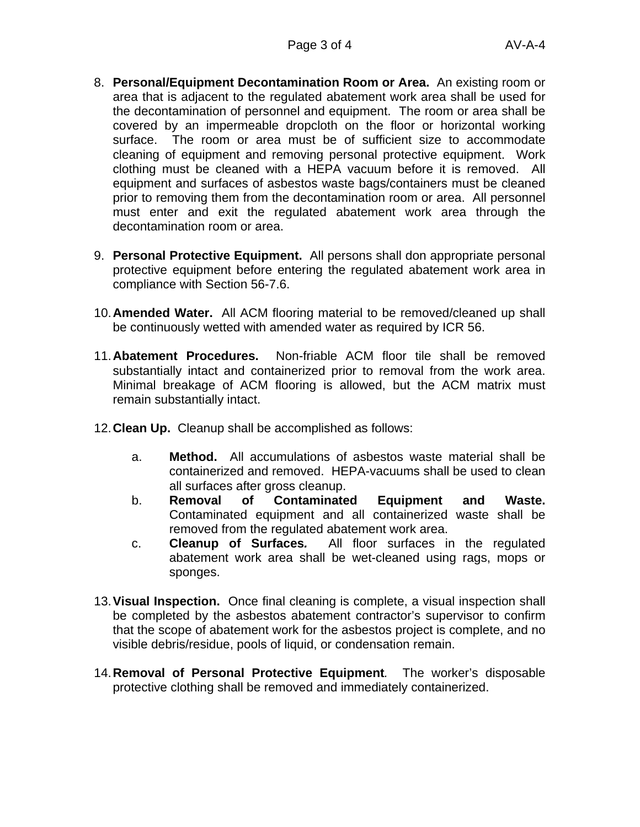- 8. **Personal/Equipment Decontamination Room or Area.** An existing room or area that is adjacent to the regulated abatement work area shall be used for the decontamination of personnel and equipment. The room or area shall be covered by an impermeable dropcloth on the floor or horizontal working surface. The room or area must be of sufficient size to accommodate cleaning of equipment and removing personal protective equipment. Work clothing must be cleaned with a HEPA vacuum before it is removed. All equipment and surfaces of asbestos waste bags/containers must be cleaned prior to removing them from the decontamination room or area. All personnel must enter and exit the regulated abatement work area through the decontamination room or area.
- 9. **Personal Protective Equipment.** All persons shall don appropriate personal protective equipment before entering the regulated abatement work area in compliance with Section 56-7.6.
- 10. **Amended Water.** All ACM flooring material to be removed/cleaned up shall be continuously wetted with amended water as required by ICR 56.
- 11. **Abatement Procedures.** Non-friable ACM floor tile shall be removed substantially intact and containerized prior to removal from the work area. Minimal breakage of ACM flooring is allowed, but the ACM matrix must remain substantially intact.
- 12. **Clean Up.** Cleanup shall be accomplished as follows:
	- a. **Method.** All accumulations of asbestos waste material shall be containerized and removed. HEPA-vacuums shall be used to clean all surfaces after gross cleanup.
	- b. **Removal of Contaminated Equipment and Waste.** Contaminated equipment and all containerized waste shall be removed from the regulated abatement work area.
	- c. **Cleanup of Surfaces***.* All floor surfaces in the regulated abatement work area shall be wet-cleaned using rags, mops or sponges.
- 13. **Visual Inspection.** Once final cleaning is complete, a visual inspection shall be completed by the asbestos abatement contractor's supervisor to confirm that the scope of abatement work for the asbestos project is complete, and no visible debris/residue, pools of liquid, or condensation remain.
- 14. **Removal of Personal Protective Equipment***.* The worker's disposable protective clothing shall be removed and immediately containerized.